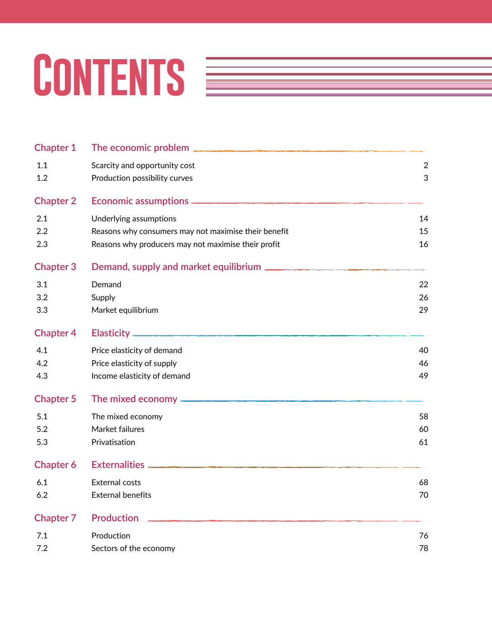# CONTENTS **EXECUTE**

| <b>Chapter 1</b> | The economic problem $\mathbf{-}$                    |            |
|------------------|------------------------------------------------------|------------|
| 1.1              | Scarcity and opportunity cost                        | $\sqrt{2}$ |
| 1.2              | Production possibility curves                        | 3          |
| <b>Chapter 2</b> |                                                      |            |
| 2.1              | Underlying assumptions                               | 14         |
| 2.2              | Reasons why consumers may not maximise their benefit | 15         |
| 2.3              | Reasons why producers may not maximise their profit  | 16         |
| <b>Chapter 3</b> | Demand, supply and market equilibrium                |            |
| 3.1              | Demand                                               | 22         |
| 3.2              | Supply                                               | 26         |
| 3.3              | Market equilibrium                                   | 29         |
| <b>Chapter 4</b> |                                                      |            |
| 4.1              | Price elasticity of demand                           | 40         |
| 4.2              | Price elasticity of supply                           | 46         |
| 4.3              | Income elasticity of demand                          | 49         |
| <b>Chapter 5</b> | The mixed economy -                                  |            |
| 5.1              | The mixed economy                                    | 58         |
| 5.2              | Market failures                                      | 60         |
| 5.3              | Privatisation                                        | 61         |
| <b>Chapter 6</b> | <b>Externalities</b> -                               |            |
| 6.1              | <b>External costs</b>                                | 68         |
| 6.2              | <b>External benefits</b>                             | 70         |
| <b>Chapter 7</b> | <b>Production</b>                                    |            |
| 7.1              | Production                                           | 76         |
| 7.2              | Sectors of the economy                               | 78         |
|                  |                                                      |            |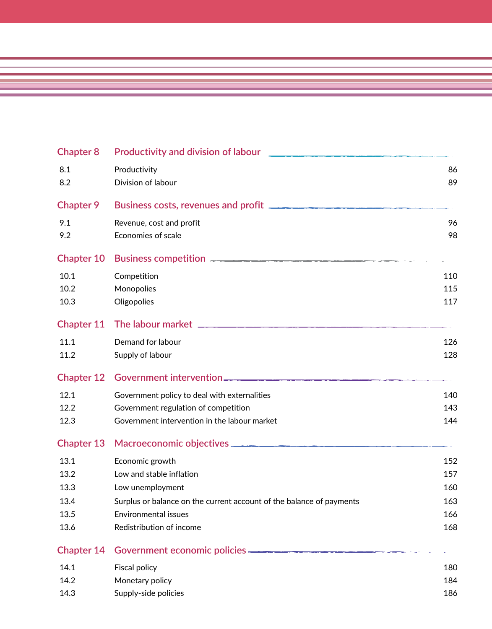| <b>Chapter 8</b>  | <b>Productivity and division of labour</b>                           |     |
|-------------------|----------------------------------------------------------------------|-----|
| 8.1               | Productivity                                                         | 86  |
| 8.2               | Division of labour                                                   | 89  |
| <b>Chapter 9</b>  | Business costs, revenues and profit                                  |     |
| 9.1               | Revenue, cost and profit                                             | 96  |
| 9.2               | Economies of scale                                                   | 98  |
| <b>Chapter 10</b> | Business competition                                                 |     |
| 10.1              | Competition                                                          | 110 |
| 10.2              | Monopolies                                                           | 115 |
| 10.3              | Oligopolies                                                          | 117 |
| <b>Chapter 11</b> |                                                                      |     |
| 11.1              | Demand for labour                                                    | 126 |
| 11.2              | Supply of labour                                                     | 128 |
| <b>Chapter 12</b> |                                                                      |     |
| 12.1              | Government policy to deal with externalities                         | 140 |
| 12.2              | Government regulation of competition                                 | 143 |
| 12.3              | Government intervention in the labour market                         | 144 |
| <b>Chapter 13</b> |                                                                      |     |
| 13.1              | Economic growth                                                      | 152 |
| 13.2              | Low and stable inflation                                             | 157 |
| 13.3              | Low unemployment                                                     | 160 |
| 13.4              | Surplus or balance on the current account of the balance of payments | 163 |
| 13.5              | Environmental issues                                                 | 166 |
| 13.6              | Redistribution of income                                             | 168 |
| <b>Chapter 14</b> | Government economic policies —                                       |     |
| 14.1              | <b>Fiscal policy</b>                                                 | 180 |
| 14.2              | Monetary policy                                                      | 184 |
| 14.3              | Supply-side policies                                                 | 186 |

<u> 1989 - Andrea Santa Andrea Andrea Andrea Andrea Andrea Andrea Andrea Andrea Andrea Andrea Andrea Andrea Andr</u>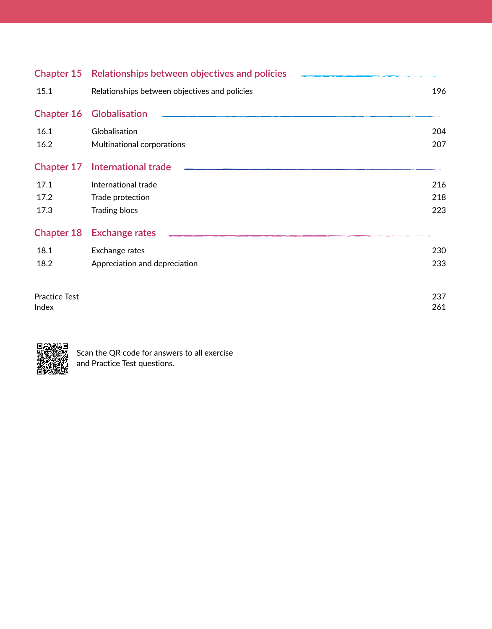|                      | Chapter 15 Relationships between objectives and policies |     |
|----------------------|----------------------------------------------------------|-----|
| 15.1                 | Relationships between objectives and policies            | 196 |
| <b>Chapter 16</b>    | <b>Globalisation</b>                                     |     |
| 16.1                 | Globalisation                                            | 204 |
| 16.2                 | Multinational corporations                               | 207 |
| <b>Chapter 17</b>    | International trade                                      |     |
| 17.1                 | International trade                                      | 216 |
| 17.2                 | Trade protection                                         | 218 |
| 17.3                 | <b>Trading blocs</b>                                     | 223 |
| <b>Chapter 18</b>    | <b>Exchange rates</b>                                    |     |
| 18.1                 | Exchange rates                                           | 230 |
| 18.2                 | Appreciation and depreciation                            | 233 |
| <b>Practice Test</b> |                                                          | 237 |
| Index                |                                                          | 261 |



Scan the QR code for answers to all exercise and Practice Test questions.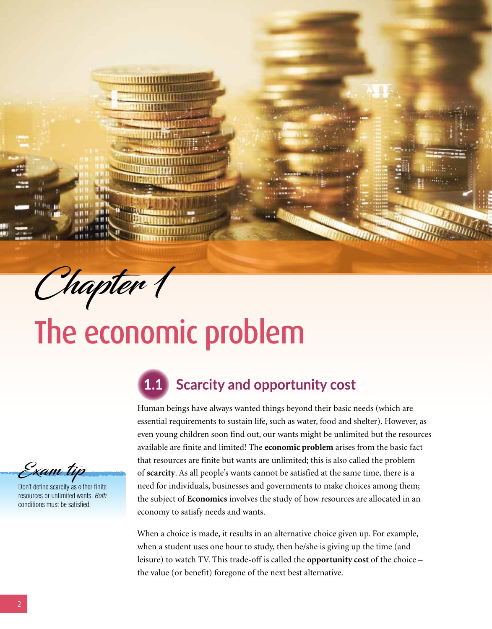

HН  $H$  H i

Шú **THE B** *<u>HII III</u>* 

# The economic problem

Exam tip

Don't define scarcity as either finite resources or unlimited wants. *Both* conditions must be satisfied.

### **1.1 Scarcity and opportunity cost**

Human beings have always wanted things beyond their basic needs (which are essential requirements to sustain life, such as water, food and shelter). However, as even young children soon find out, our wants might be unlimited but the resources available are finite and limited! The **economic problem** arises from the basic fact that resources are finite but wants are unlimited; this is also called the problem of **scarcity**. As all people's wants cannot be satisfied at the same time, there is a need for individuals, businesses and governments to make choices among them; the subject of **Economics** involves the study of how resources are allocated in an economy to satisfy needs and wants.

When a choice is made, it results in an alternative choice given up. For example, when a student uses one hour to study, then he/she is giving up the time (and leisure) to watch TV. This trade-off is called the **opportunity cost** of the choice – the value (or benefit) foregone of the next best alternative.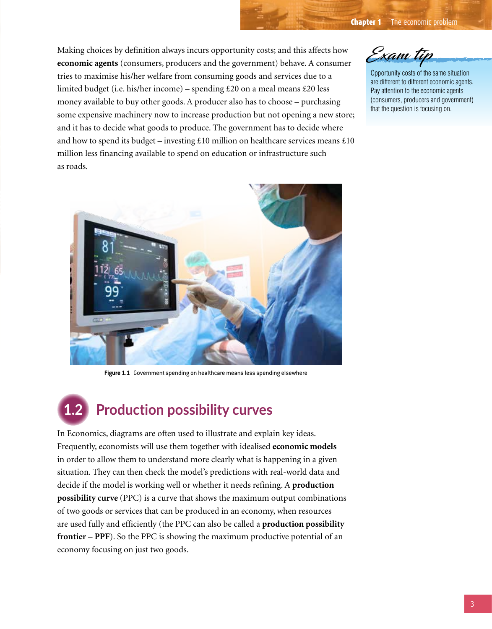**Chapter 1** The economic problem

Making choices by definition always incurs opportunity costs; and this affects how **economic agents** (consumers, producers and the government) behave. A consumer tries to maximise his/her welfare from consuming goods and services due to a limited budget (i.e. his/her income) – spending £20 on a meal means £20 less money available to buy other goods. A producer also has to choose – purchasing some expensive machinery now to increase production but not opening a new store; and it has to decide what goods to produce. The government has to decide where and how to spend its budget – investing £10 million on healthcare services means £10 million less financing available to spend on education or infrastructure such as roads.



Opportunity costs of the same situation are different to different economic agents. Pay attention to the economic agents (consumers, producers and government) that the question is focusing on.



**Figure 1.1** Government spending on healthcare means less spending elsewhere

# **1.2 Production possibility curves**

In Economics, diagrams are often used to illustrate and explain key ideas. Frequently, economists will use them together with idealised **economic models** in order to allow them to understand more clearly what is happening in a given situation. They can then check the model's predictions with real-world data and decide if the model is working well or whether it needs refining. A **production possibility curve** (PPC) is a curve that shows the maximum output combinations of two goods or services that can be produced in an economy, when resources are used fully and efficiently (the PPC can also be called a **production possibility frontier** – **PPF**). So the PPC is showing the maximum productive potential of an economy focusing on just two goods.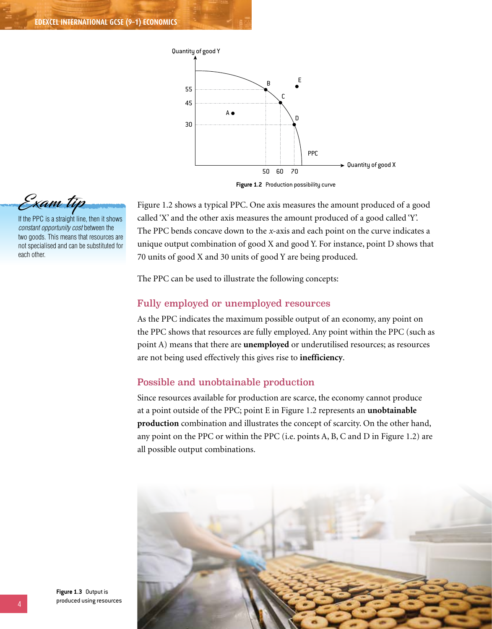

Figure 1.2 shows a typical PPC. One axis measures the amount produced of a good called 'X' and the other axis measures the amount produced of a good called 'Y'. The PPC bends concave down to the *x*-axis and each point on the curve indicates a unique output combination of good X and good Y. For instance, point D shows that 70 units of good X and 30 units of good Y are being produced.

The PPC can be used to illustrate the following concepts:

#### Fully employed or unemployed resources

As the PPC indicates the maximum possible output of an economy, any point on the PPC shows that resources are fully employed. Any point within the PPC (such as point A) means that there are **unemployed** or underutilised resources; as resources are not being used effectively this gives rise to **inefficiency**.

#### Possible and unobtainable production

Since resources available for production are scarce, the economy cannot produce at a point outside of the PPC; point E in Figure 1.2 represents an **unobtainable production** combination and illustrates the concept of scarcity. On the other hand, any point on the PPC or within the PPC (i.e. points A, B, C and D in Figure 1.2) are all possible output combinations.





If the PPC is a straight line, then it shows *constant opportunity cost* between the two goods. This means that resources are not specialised and can be substituted for each other.

**Figure 1.3** Output is produced using resources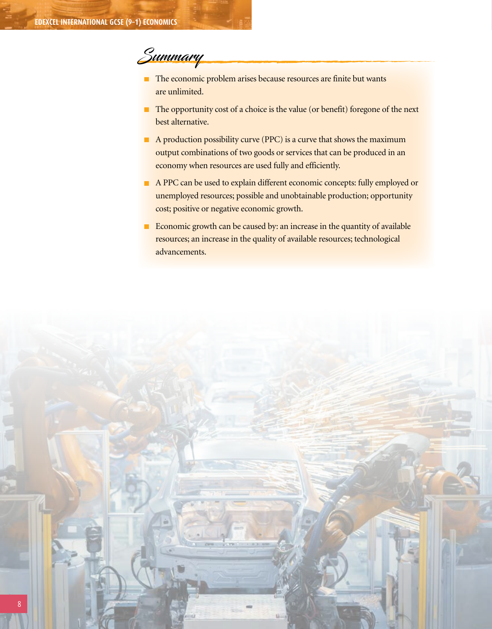## Summary

- $\blacksquare$  The economic problem arises because resources are finite but wants are unlimited.
- The opportunity cost of a choice is the value (or benefit) foregone of the next best alternative.
- A production possibility curve (PPC) is a curve that shows the maximum output combinations of two goods or services that can be produced in an economy when resources are used fully and efficiently.
- A PPC can be used to explain different economic concepts: fully employed or unemployed resources; possible and unobtainable production; opportunity cost; positive or negative economic growth.
- Economic growth can be caused by: an increase in the quantity of available resources; an increase in the quality of available resources; technological advancements.